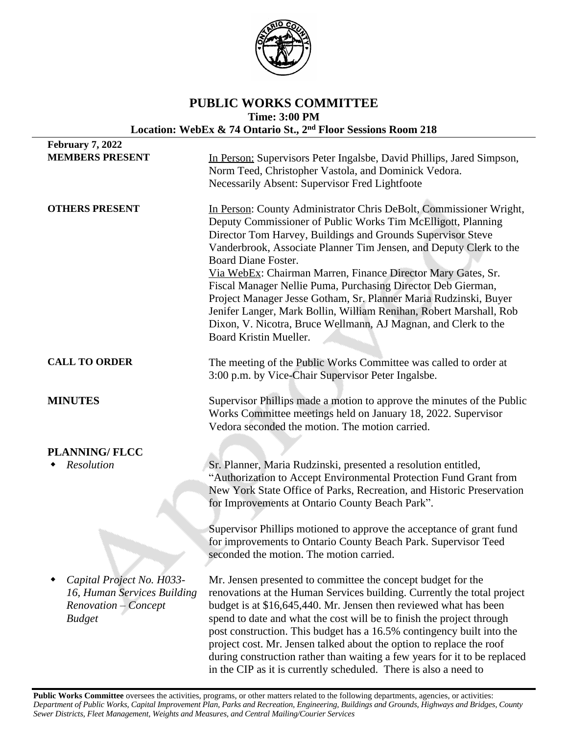

# **PUBLIC WORKS COMMITTEE Time: 3:00 PM Location: WebEx & 74 Ontario St., 2nd Floor Sessions Room 218**

| <b>February 7, 2022</b>                                                                           |                                                                                                                                                                                                                                                                                                                                                                                                                                                                                                                                                                                                                                                                             |
|---------------------------------------------------------------------------------------------------|-----------------------------------------------------------------------------------------------------------------------------------------------------------------------------------------------------------------------------------------------------------------------------------------------------------------------------------------------------------------------------------------------------------------------------------------------------------------------------------------------------------------------------------------------------------------------------------------------------------------------------------------------------------------------------|
| <b>MEMBERS PRESENT</b>                                                                            | In Person: Supervisors Peter Ingalsbe, David Phillips, Jared Simpson,<br>Norm Teed, Christopher Vastola, and Dominick Vedora.<br>Necessarily Absent: Supervisor Fred Lightfoote                                                                                                                                                                                                                                                                                                                                                                                                                                                                                             |
| <b>OTHERS PRESENT</b>                                                                             | In Person: County Administrator Chris DeBolt, Commissioner Wright,<br>Deputy Commissioner of Public Works Tim McElligott, Planning<br>Director Tom Harvey, Buildings and Grounds Supervisor Steve<br>Vanderbrook, Associate Planner Tim Jensen, and Deputy Clerk to the<br><b>Board Diane Foster.</b><br>Via WebEx: Chairman Marren, Finance Director Mary Gates, Sr.<br>Fiscal Manager Nellie Puma, Purchasing Director Deb Gierman,<br>Project Manager Jesse Gotham, Sr. Planner Maria Rudzinski, Buyer<br>Jenifer Langer, Mark Bollin, William Renihan, Robert Marshall, Rob<br>Dixon, V. Nicotra, Bruce Wellmann, AJ Magnan, and Clerk to the<br>Board Kristin Mueller. |
| <b>CALL TO ORDER</b>                                                                              | The meeting of the Public Works Committee was called to order at<br>3:00 p.m. by Vice-Chair Supervisor Peter Ingalsbe.                                                                                                                                                                                                                                                                                                                                                                                                                                                                                                                                                      |
| <b>MINUTES</b>                                                                                    | Supervisor Phillips made a motion to approve the minutes of the Public<br>Works Committee meetings held on January 18, 2022. Supervisor<br>Vedora seconded the motion. The motion carried.                                                                                                                                                                                                                                                                                                                                                                                                                                                                                  |
| <b>PLANNING/FLCC</b>                                                                              |                                                                                                                                                                                                                                                                                                                                                                                                                                                                                                                                                                                                                                                                             |
| Resolution                                                                                        | Sr. Planner, Maria Rudzinski, presented a resolution entitled,<br>"Authorization to Accept Environmental Protection Fund Grant from<br>New York State Office of Parks, Recreation, and Historic Preservation<br>for Improvements at Ontario County Beach Park".                                                                                                                                                                                                                                                                                                                                                                                                             |
|                                                                                                   | Supervisor Phillips motioned to approve the acceptance of grant fund<br>for improvements to Ontario County Beach Park. Supervisor Teed<br>seconded the motion. The motion carried.                                                                                                                                                                                                                                                                                                                                                                                                                                                                                          |
| Capital Project No. H033-<br>16, Human Services Building<br>Renovation - Concept<br><b>Budget</b> | Mr. Jensen presented to committee the concept budget for the<br>renovations at the Human Services building. Currently the total project<br>budget is at \$16,645,440. Mr. Jensen then reviewed what has been<br>spend to date and what the cost will be to finish the project through<br>post construction. This budget has a 16.5% contingency built into the<br>project cost. Mr. Jensen talked about the option to replace the roof<br>during construction rather than waiting a few years for it to be replaced<br>in the CIP as it is currently scheduled. There is also a need to                                                                                     |

Public Works Committee oversees the activities, programs, or other matters related to the following departments, agencies, or activities: Department of Public Works, Capital Improvement Plan, Parks and Recreation, Engineering, Buildings and Grounds, Highways and Bridges, County *Sewer Districts, Fleet Management, Weights and Measures, and Central Mailing/Courier Services*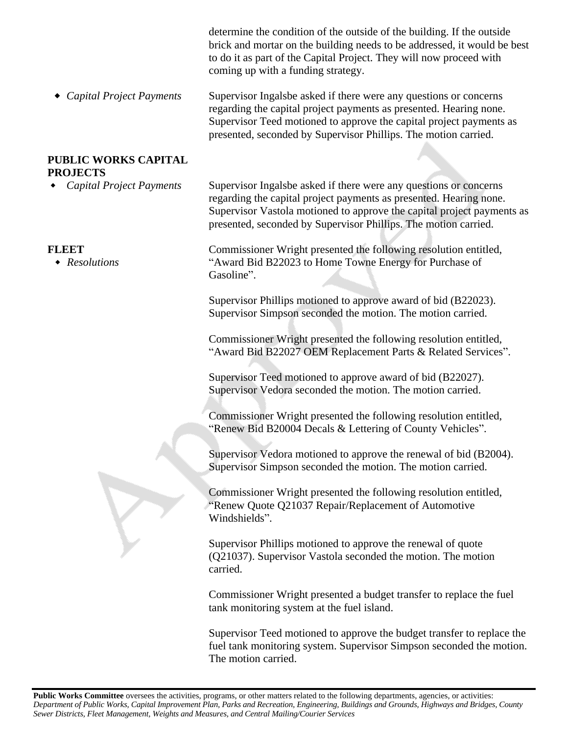|                                                    | determine the condition of the outside of the building. If the outside<br>brick and mortar on the building needs to be addressed, it would be best<br>to do it as part of the Capital Project. They will now proceed with<br>coming up with a funding strategy.                      |
|----------------------------------------------------|--------------------------------------------------------------------------------------------------------------------------------------------------------------------------------------------------------------------------------------------------------------------------------------|
| <b>Capital Project Payments</b>                    | Supervisor Ingalsbe asked if there were any questions or concerns<br>regarding the capital project payments as presented. Hearing none.<br>Supervisor Teed motioned to approve the capital project payments as<br>presented, seconded by Supervisor Phillips. The motion carried.    |
| <b>PUBLIC WORKS CAPITAL</b>                        |                                                                                                                                                                                                                                                                                      |
| <b>PROJECTS</b><br><b>Capital Project Payments</b> | Supervisor Ingalsbe asked if there were any questions or concerns<br>regarding the capital project payments as presented. Hearing none.<br>Supervisor Vastola motioned to approve the capital project payments as<br>presented, seconded by Supervisor Phillips. The motion carried. |
| <b>FLEET</b><br>• Resolutions                      | Commissioner Wright presented the following resolution entitled,<br>"Award Bid B22023 to Home Towne Energy for Purchase of<br>Gasoline".                                                                                                                                             |
|                                                    | Supervisor Phillips motioned to approve award of bid (B22023).<br>Supervisor Simpson seconded the motion. The motion carried.                                                                                                                                                        |
|                                                    | Commissioner Wright presented the following resolution entitled,<br>"Award Bid B22027 OEM Replacement Parts & Related Services".                                                                                                                                                     |
|                                                    | Supervisor Teed motioned to approve award of bid (B22027).<br>Supervisor Vedora seconded the motion. The motion carried.                                                                                                                                                             |
|                                                    | Commissioner Wright presented the following resolution entitled,<br>"Renew Bid B20004 Decals & Lettering of County Vehicles".                                                                                                                                                        |
|                                                    | Supervisor Vedora motioned to approve the renewal of bid (B2004).<br>Supervisor Simpson seconded the motion. The motion carried.                                                                                                                                                     |
|                                                    | Commissioner Wright presented the following resolution entitled,<br>"Renew Quote Q21037 Repair/Replacement of Automotive<br>Windshields".                                                                                                                                            |
|                                                    | Supervisor Phillips motioned to approve the renewal of quote<br>(Q21037). Supervisor Vastola seconded the motion. The motion<br>carried.                                                                                                                                             |
|                                                    | Commissioner Wright presented a budget transfer to replace the fuel<br>tank monitoring system at the fuel island.                                                                                                                                                                    |
|                                                    | Supervisor Teed motioned to approve the budget transfer to replace the<br>fuel tank monitoring system. Supervisor Simpson seconded the motion.<br>The motion carried.                                                                                                                |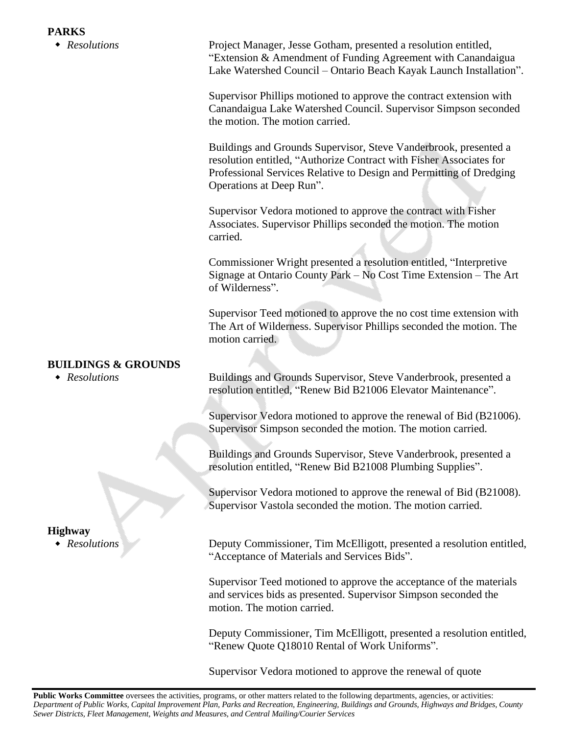*Resolutions* Project Manager, Jesse Gotham, presented a resolution entitled, "Extension & Amendment of Funding Agreement with Canandaigua Lake Watershed Council – Ontario Beach Kayak Launch Installation".

> Supervisor Phillips motioned to approve the contract extension with Canandaigua Lake Watershed Council. Supervisor Simpson seconded the motion. The motion carried.

Buildings and Grounds Supervisor, Steve Vanderbrook, presented a resolution entitled, "Authorize Contract with Fisher Associates for Professional Services Relative to Design and Permitting of Dredging Operations at Deep Run".

Supervisor Vedora motioned to approve the contract with Fisher Associates. Supervisor Phillips seconded the motion. The motion carried.

Commissioner Wright presented a resolution entitled, "Interpretive Signage at Ontario County Park – No Cost Time Extension – The Art of Wilderness".

Supervisor Teed motioned to approve the no cost time extension with The Art of Wilderness. Supervisor Phillips seconded the motion. The motion carried.

## **BUILDINGS & GROUNDS**

 *Resolutions* Buildings and Grounds Supervisor, Steve Vanderbrook, presented a resolution entitled, "Renew Bid B21006 Elevator Maintenance".

> Supervisor Vedora motioned to approve the renewal of Bid (B21006). Supervisor Simpson seconded the motion. The motion carried.

Buildings and Grounds Supervisor, Steve Vanderbrook, presented a resolution entitled, "Renew Bid B21008 Plumbing Supplies".

Supervisor Vedora motioned to approve the renewal of Bid (B21008). Supervisor Vastola seconded the motion. The motion carried.

 *Resolutions* Deputy Commissioner, Tim McElligott, presented a resolution entitled, "Acceptance of Materials and Services Bids".

> Supervisor Teed motioned to approve the acceptance of the materials and services bids as presented. Supervisor Simpson seconded the motion. The motion carried.

Deputy Commissioner, Tim McElligott, presented a resolution entitled, "Renew Quote Q18010 Rental of Work Uniforms".

Supervisor Vedora motioned to approve the renewal of quote

# **Highway**